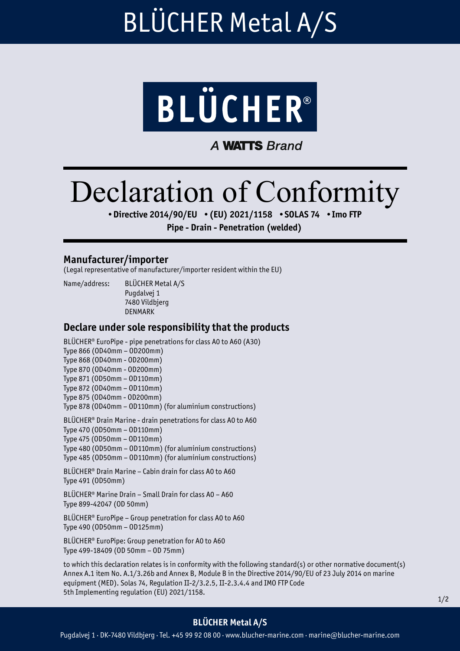# BLÜCHER Metal A/S



**A WATTS Brand** 

# Declaration of Conformity

•Directive 2014/90/EU •(EU) 2021/1158 •SOLAS 74 •Imo FTP

Pipe - Drain - Penetration (welded)

#### Manufacturer/importer

(Legal representative of manufacturer/importer resident within the EU)

Name/address: BLÜCHER Metal A/S Pugdalvej 1 7480 Vildbjerg DENMARK

### Declare under sole responsibility that the products

BLÜCHER® EuroPipe - pipe penetrations for class A0 to A60 (A30) Type 866 (OD40mm – OD200mm) Type 868 (OD40mm - OD200mm) Type 870 (OD40mm - OD200mm) Type 871 (OD50mm – OD110mm) Type 872 (OD40mm – OD110mm) Type 875 (OD40mm - OD200mm) Type 878 (OD40mm – OD110mm) (for aluminium constructions) BLÜCHER® Drain Marine - drain penetrations for class A0 to A60 Type 470 (OD50mm – OD110mm) Type 475 (OD50mm – OD110mm) Type 480 (OD50mm – OD110mm) (for aluminium constructions) Type 485 (OD50mm – OD110mm) (for aluminium constructions) BLÜCHER® Drain Marine – Cabin drain for class A0 to A60 Type 491 (OD50mm) BLÜCHER® Marine Drain – Small Drain for class A0 – A60 Type 899-42047 (OD 50mm) BLÜCHER® EuroPipe – Group penetration for class A0 to A60 Type 490 (OD50mm – OD125mm) BLÜCHER® EuroPipe: Group penetration for A0 to A60 Type 499-18409 (OD 50mm – OD 75mm)

to which this declaration relates is in conformity with the following standard(s) or other normative document(s) Annex A.1 item No. A.1/3.26b and Annex B, Module B in the Directive 2014/90/EU of 23 July 2014 on marine equipment (MED). Solas 74, Regulation II-2/3.2.5, II-2.3.4.4 and IMO FTP Code 5th Implementing regulation (EU) 2021/1158.

### BLÜCHER Metal A/S

Pugdalvej 1 · DK-7480 Vildbjerg · Tel. +45 99 92 08 00 · www.blucher-marine.com · marine@blucher-marine.com